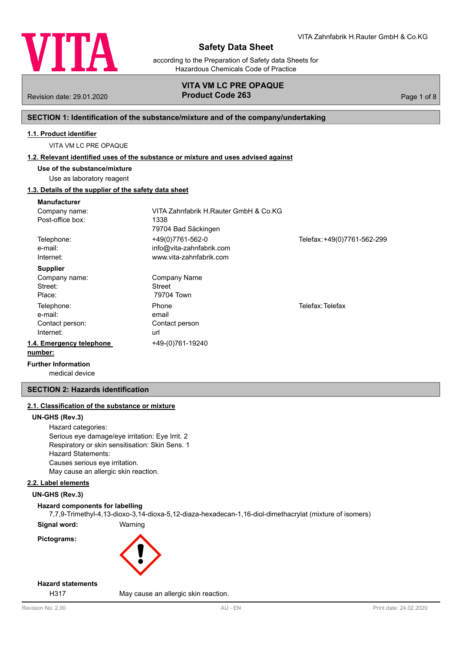

according to the Preparation of Safety data Sheets for Hazardous Chemicals Code of Practice

# **VITA VM LC PRE OPAQUE** Revision date: 29.01.2020 **Product Code 263** Page 1 of 8

# **SECTION 1: Identification of the substance/mixture and of the company/undertaking**

# **1.1. Product identifier**

VITA VM LC PRE OPAQUE

### **1.2. Relevant identified uses of the substance or mixture and uses advised against**

**Use of the substance/mixture**

# Use as laboratory reagent

# **1.3. Details of the supplier of the safety data sheet**

| <b>Manufacturer</b>                     |                                       |                             |
|-----------------------------------------|---------------------------------------|-----------------------------|
| Company name:                           | VITA Zahnfabrik H.Rauter GmbH & Co.KG |                             |
| Post-office box:                        | 1338                                  |                             |
|                                         | 79704 Bad Säckingen                   |                             |
| Telephone:                              | +49(0)7761-562-0                      | Telefax: +49(0)7761-562-299 |
| e-mail:                                 | info@vita-zahnfabrik.com              |                             |
| Internet:                               | www.vita-zahnfabrik.com               |                             |
| <b>Supplier</b>                         |                                       |                             |
| Company name:                           | Company Name                          |                             |
| Street:                                 | Street                                |                             |
| Place:                                  | 79704 Town                            |                             |
| Telephone:                              | Phone                                 | Telefax: Telefax            |
| e-mail:                                 | email                                 |                             |
| Contact person:                         | Contact person                        |                             |
| Internet:                               | url                                   |                             |
| 1.4. Emergency telephone                | +49-(0)761-19240                      |                             |
| number:                                 |                                       |                             |
| Expedition of the first construction of |                                       |                             |

medical device **Further Information**

# **SECTION 2: Hazards identification**

# **2.1. Classification of the substance or mixture**

#### **UN-GHS (Rev.3)**

Hazard categories: Serious eye damage/eye irritation: Eye Irrit. 2 Respiratory or skin sensitisation: Skin Sens. 1 Hazard Statements: Causes serious eye irritation. May cause an allergic skin reaction.

# **2.2. Label elements**

# **UN-GHS (Rev.3)**

## **Hazard components for labelling**

7,7,9-Trimethyl-4,13-dioxo-3,14-dioxa-5,12-diaza-hexadecan-1,16-diol-dimethacrylat (mixture of isomers)

**Signal word:** Warning **Pictograms:**



# **Hazard statements**

H317 May cause an allergic skin reaction.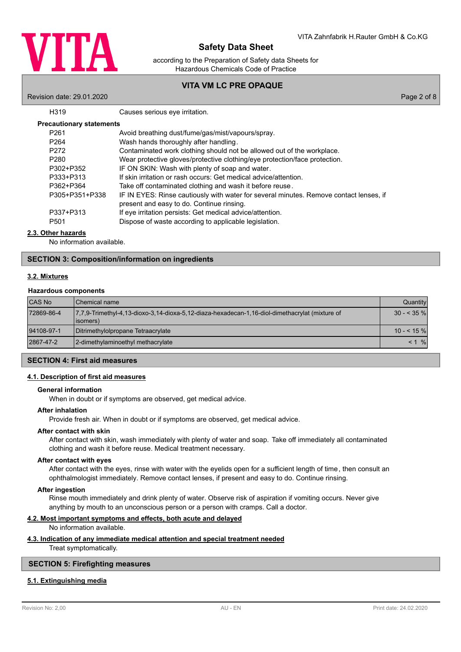

according to the Preparation of Safety data Sheets for Hazardous Chemicals Code of Practice

# **VITA VM LC PRE OPAQUE**

Revision date: 29.01.2020 Page 2 of 8

| H <sub>319</sub>                | Causes serious eye irritation.                                                                                                      |
|---------------------------------|-------------------------------------------------------------------------------------------------------------------------------------|
| <b>Precautionary statements</b> |                                                                                                                                     |
| P <sub>261</sub>                | Avoid breathing dust/fume/gas/mist/vapours/spray.                                                                                   |
| P <sub>264</sub>                | Wash hands thoroughly after handling.                                                                                               |
| P <sub>272</sub>                | Contaminated work clothing should not be allowed out of the workplace.                                                              |
| P <sub>280</sub>                | Wear protective gloves/protective clothing/eye protection/face protection.                                                          |
| P302+P352                       | IF ON SKIN: Wash with plenty of soap and water.                                                                                     |
| P333+P313                       | If skin irritation or rash occurs: Get medical advice/attention.                                                                    |
| P362+P364                       | Take off contaminated clothing and wash it before reuse.                                                                            |
| P305+P351+P338                  | IF IN EYES: Rinse cautiously with water for several minutes. Remove contact lenses, if<br>present and easy to do. Continue rinsing. |
| P337+P313                       | If eye irritation persists: Get medical advice/attention.                                                                           |
| P <sub>501</sub>                | Dispose of waste according to applicable legislation.                                                                               |
|                                 |                                                                                                                                     |

## **2.3. Other hazards**

No information available.

## **SECTION 3: Composition/information on ingredients**

# **3.2. Mixtures**

#### **Hazardous components**

| <b>CAS No</b> | <b>I</b> Chemical name                                                                                      | Quantity             |
|---------------|-------------------------------------------------------------------------------------------------------------|----------------------|
| 72869-86-4    | 7.7.9-Trimethyl-4.13-dioxo-3.14-dioxa-5.12-diaza-hexadecan-1.16-diol-dimethacrylat (mixture of<br>(lisomers | $30 - 35\%$          |
| 94108-97-1    | Ditrimethylolpropane Tetraacrylate                                                                          | $10 - 5 \frac{9}{6}$ |
| 2867-47-2     | 2-dimethylaminoethyl methacrylate                                                                           | $\frac{9}{6}$<br>< 1 |

### **SECTION 4: First aid measures**

### **4.1. Description of first aid measures**

### **General information**

When in doubt or if symptoms are observed, get medical advice.

#### **After inhalation**

Provide fresh air. When in doubt or if symptoms are observed, get medical advice.

# **After contact with skin**

After contact with skin, wash immediately with plenty of water and soap. Take off immediately all contaminated clothing and wash it before reuse. Medical treatment necessary.

#### **After contact with eyes**

After contact with the eyes, rinse with water with the eyelids open for a sufficient length of time, then consult an ophthalmologist immediately. Remove contact lenses, if present and easy to do. Continue rinsing.

### **After ingestion**

Rinse mouth immediately and drink plenty of water. Observe risk of aspiration if vomiting occurs. Never give anything by mouth to an unconscious person or a person with cramps. Call a doctor.

## **4.2. Most important symptoms and effects, both acute and delayed**

No information available.

# **4.3. Indication of any immediate medical attention and special treatment needed**

Treat symptomatically.

# **SECTION 5: Firefighting measures**

### **5.1. Extinguishing media**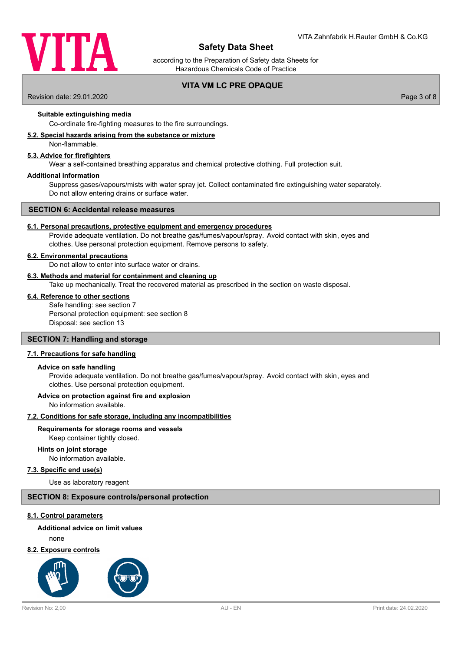

according to the Preparation of Safety data Sheets for Hazardous Chemicals Code of Practice

# **VITA VM LC PRE OPAQUE**

Revision date: 29.01.2020 Page 3 of 8

### **Suitable extinguishing media**

Co-ordinate fire-fighting measures to the fire surroundings.

### **5.2. Special hazards arising from the substance or mixture**

Non-flammable.

### **5.3. Advice for firefighters**

Wear a self-contained breathing apparatus and chemical protective clothing. Full protection suit.

#### **Additional information**

Suppress gases/vapours/mists with water spray jet. Collect contaminated fire extinguishing water separately. Do not allow entering drains or surface water.

#### **SECTION 6: Accidental release measures**

#### **6.1. Personal precautions, protective equipment and emergency procedures**

Provide adequate ventilation. Do not breathe gas/fumes/vapour/spray. Avoid contact with skin, eyes and clothes. Use personal protection equipment. Remove persons to safety.

#### **6.2. Environmental precautions**

Do not allow to enter into surface water or drains.

### **6.3. Methods and material for containment and cleaning up**

Take up mechanically. Treat the recovered material as prescribed in the section on waste disposal.

# **6.4. Reference to other sections**

Safe handling: see section 7 Personal protection equipment: see section 8 Disposal: see section 13

## **SECTION 7: Handling and storage**

#### **7.1. Precautions for safe handling**

#### **Advice on safe handling**

Provide adequate ventilation. Do not breathe gas/fumes/vapour/spray. Avoid contact with skin, eyes and clothes. Use personal protection equipment.

#### **Advice on protection against fire and explosion**

No information available.

### **7.2. Conditions for safe storage, including any incompatibilities**

#### **Requirements for storage rooms and vessels**

Keep container tightly closed.

### **Hints on joint storage**

No information available.

# **7.3. Specific end use(s)**

Use as laboratory reagent

### **SECTION 8: Exposure controls/personal protection**

#### **8.1. Control parameters**

# **Additional advice on limit values**

none

## **8.2. Exposure controls**

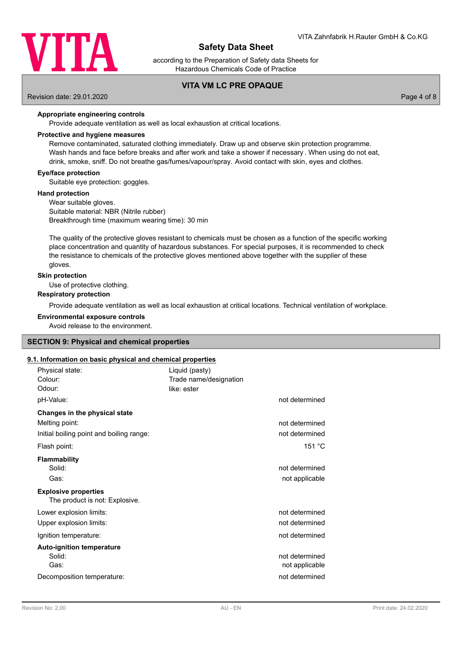

according to the Preparation of Safety data Sheets for Hazardous Chemicals Code of Practice

# **VITA VM LC PRE OPAQUE**

Revision date: 29.01.2020 Page 4 of 8

#### **Appropriate engineering controls**

Provide adequate ventilation as well as local exhaustion at critical locations.

#### **Protective and hygiene measures**

Remove contaminated, saturated clothing immediately. Draw up and observe skin protection programme. Wash hands and face before breaks and after work and take a shower if necessary . When using do not eat, drink, smoke, sniff. Do not breathe gas/fumes/vapour/spray. Avoid contact with skin, eyes and clothes.

### **Eye/face protection**

Suitable eye protection: goggles.

#### **Hand protection**

Wear suitable gloves. Suitable material: NBR (Nitrile rubber) Breakthrough time (maximum wearing time): 30 min

The quality of the protective gloves resistant to chemicals must be chosen as a function of the specific working place concentration and quantity of hazardous substances. For special purposes, it is recommended to check the resistance to chemicals of the protective gloves mentioned above together with the supplier of these gloves.

#### **Skin protection**

Use of protective clothing.

# **Respiratory protection**

Provide adequate ventilation as well as local exhaustion at critical locations. Technical ventilation of workplace.

#### **Environmental exposure controls**

Avoid release to the environment.

## **SECTION 9: Physical and chemical properties**

#### **9.1. Information on basic physical and chemical properties**

| Physical state:<br>Colour:<br>Odour:<br>pH-Value:                                                      | Liquid (pasty)<br>Trade name/designation<br>like: ester | not determined                                     |
|--------------------------------------------------------------------------------------------------------|---------------------------------------------------------|----------------------------------------------------|
| Changes in the physical state<br>Melting point:<br>Initial boiling point and boiling range:            |                                                         | not determined<br>not determined                   |
| Flash point:                                                                                           |                                                         | 151 °C                                             |
| <b>Flammability</b><br>Solid:<br>Gas:<br><b>Explosive properties</b><br>The product is not: Explosive. |                                                         | not determined<br>not applicable                   |
| Lower explosion limits:                                                                                |                                                         | not determined                                     |
| Upper explosion limits:                                                                                |                                                         | not determined                                     |
| Ignition temperature:                                                                                  |                                                         | not determined                                     |
| <b>Auto-ignition temperature</b><br>Solid:<br>Gas:                                                     |                                                         | not determined<br>not applicable<br>not determined |
| Decomposition temperature:                                                                             |                                                         |                                                    |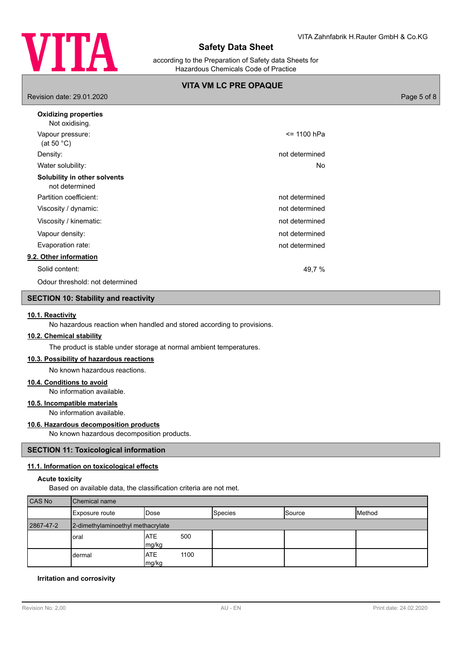

according to the Preparation of Safety data Sheets for Hazardous Chemicals Code of Practice

# **VITA VM LC PRE OPAQUE**

Revision date: 29.01.2020 Page 5 of 8

| <b>Oxidizing properties</b><br>Not oxidising.  |                |
|------------------------------------------------|----------------|
| Vapour pressure:<br>(at 50 $^{\circ}$ C)       | <= 1100 hPa    |
| Density:                                       | not determined |
| Water solubility:                              | No             |
| Solubility in other solvents<br>not determined |                |
| Partition coefficient:                         | not determined |
| Viscosity / dynamic:                           | not determined |
| Viscosity / kinematic:                         | not determined |
| Vapour density:                                | not determined |
| Evaporation rate:                              | not determined |
| 9.2. Other information                         |                |
| Solid content:                                 | 49,7 %         |
| Odour threshold: not determined                |                |

# **SECTION 10: Stability and reactivity**

### **10.1. Reactivity**

No hazardous reaction when handled and stored according to provisions.

## **10.2. Chemical stability**

The product is stable under storage at normal ambient temperatures.

# **10.3. Possibility of hazardous reactions**

No known hazardous reactions.

### **10.4. Conditions to avoid**

No information available.

# **10.5. Incompatible materials**

No information available.

#### **10.6. Hazardous decomposition products**

No known hazardous decomposition products.

#### **SECTION 11: Toxicological information**

#### **11.1. Information on toxicological effects**

#### **Acute toxicity**

Based on available data, the classification criteria are not met.

| CAS No    | Chemical name                     |                             |                |               |        |
|-----------|-----------------------------------|-----------------------------|----------------|---------------|--------|
|           | Exposure route                    | IDose                       | <b>Species</b> | <b>Source</b> | Method |
| 2867-47-2 | 2-dimethylaminoethyl methacrylate |                             |                |               |        |
|           | loral                             | <b>ATE</b><br>500<br>mg/kg  |                |               |        |
|           | dermal                            | <b>ATE</b><br>1100<br>mg/kg |                |               |        |

### **Irritation and corrosivity**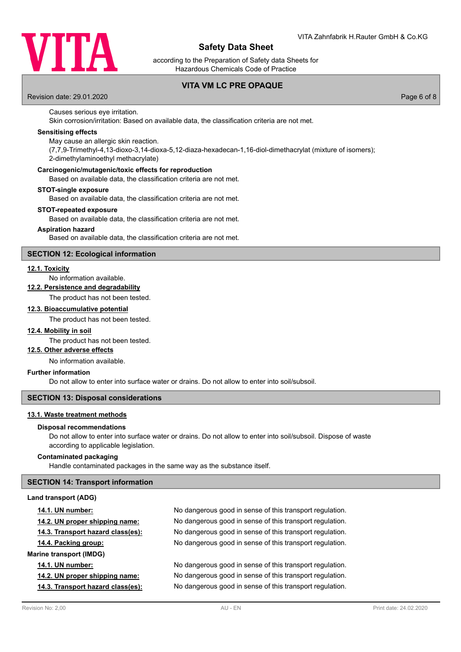

according to the Preparation of Safety data Sheets for Hazardous Chemicals Code of Practice

# **VITA VM LC PRE OPAQUE**

Revision date: 29.01.2020 Page 6 of 8

# Causes serious eye irritation.

Skin corrosion/irritation: Based on available data, the classification criteria are not met.

# **Sensitising effects**

May cause an allergic skin reaction.

(7,7,9-Trimethyl-4,13-dioxo-3,14-dioxa-5,12-diaza-hexadecan-1,16-diol-dimethacrylat (mixture of isomers); 2-dimethylaminoethyl methacrylate)

### **Carcinogenic/mutagenic/toxic effects for reproduction**

Based on available data, the classification criteria are not met.

### **STOT-single exposure**

Based on available data, the classification criteria are not met.

#### **STOT-repeated exposure**

Based on available data, the classification criteria are not met.

#### **Aspiration hazard**

Based on available data, the classification criteria are not met.

## **SECTION 12: Ecological information**

### **12.1. Toxicity**

No information available.

# **12.2. Persistence and degradability**

The product has not been tested.

## **12.3. Bioaccumulative potential**

The product has not been tested.

# **12.4. Mobility in soil**

The product has not been tested.

## **12.5. Other adverse effects**

No information available.

## **Further information**

Do not allow to enter into surface water or drains. Do not allow to enter into soil/subsoil.

#### **SECTION 13: Disposal considerations**

#### **13.1. Waste treatment methods**

#### **Disposal recommendations**

Do not allow to enter into surface water or drains. Do not allow to enter into soil/subsoil. Dispose of waste according to applicable legislation.

# **Contaminated packaging**

Handle contaminated packages in the same way as the substance itself.

## **SECTION 14: Transport information**

#### **Land transport (ADG)**

| <b>14.1. UN number:</b>           | No dangerous good in sense of this transport regulation. |
|-----------------------------------|----------------------------------------------------------|
| 14.2. UN proper shipping name:    | No dangerous good in sense of this transport regulation. |
| 14.3. Transport hazard class(es): | No dangerous good in sense of this transport regulation. |
| 14.4. Packing group:              | No dangerous good in sense of this transport regulation. |
| <b>Marine transport (IMDG)</b>    |                                                          |
| <b>14.1. UN number:</b>           | No dangerous good in sense of this transport regulation. |
| 14.2. UN proper shipping name:    | No dangerous good in sense of this transport regulation. |
| 14.3. Transport hazard class(es): | No dangerous good in sense of this transport regulation. |
|                                   |                                                          |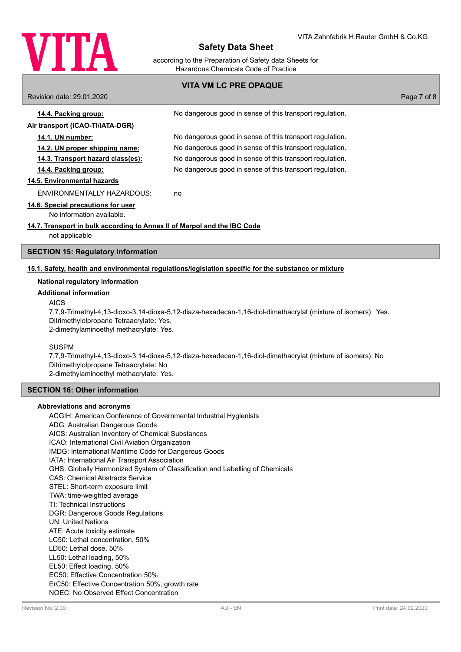

according to the Preparation of Safety data Sheets for Hazardous Chemicals Code of Practice

# **VITA VM LC PRE OPAQUE** Revision date: 29.01.2020 Page 7 of 8 **14.4. Packing group:** No dangerous good in sense of this transport regulation. **Air transport (ICAO-TI/IATA-DGR) 14.1. UN number:** No dangerous good in sense of this transport regulation. **14.2. UN proper shipping name:** No dangerous good in sense of this transport regulation. **14.3. Transport hazard class(es):** No dangerous good in sense of this transport regulation. **14.4. Packing group:** No dangerous good in sense of this transport regulation. **14.5. Environmental hazards** ENVIRONMENTALLY HAZARDOUS: no **14.6. Special precautions for user** No information available. **14.7. Transport in bulk according to Annex II of Marpol and the IBC Code** not applicable **SECTION 15: Regulatory information**

## **15.1. Safety, health and environmental regulations/legislation specific for the substance or mixture**

#### **National regulatory information**

#### **Additional information**

### AICS

7,7,9-Trimethyl-4,13-dioxo-3,14-dioxa-5,12-diaza-hexadecan-1,16-diol-dimethacrylat (mixture of isomers): Yes. Ditrimethylolpropane Tetraacrylate: Yes. 2-dimethylaminoethyl methacrylate: Yes.

#### SUSPM

7,7,9-Trimethyl-4,13-dioxo-3,14-dioxa-5,12-diaza-hexadecan-1,16-diol-dimethacrylat (mixture of isomers): No Ditrimethylolpropane Tetraacrylate: No 2-dimethylaminoethyl methacrylate: Yes.

# **SECTION 16: Other information**

#### **Abbreviations and acronyms**

ACGIH: American Conference of Governmental Industrial Hygienists ADG: Australian Dangerous Goods AICS: Australian Inventory of Chemical Substances ICAO: International Civil Aviation Organization IMDG: International Maritime Code for Dangerous Goods IATA: International Air Transport Association GHS: Globally Harmonized System of Classification and Labelling of Chemicals CAS: Chemical Abstracts Service STEL: Short-term exposure limit TWA: time-weighted average TI: Technical Instructions DGR: Dangerous Goods Regulations UN: United Nations ATE: Acute toxicity estimate LC50: Lethal concentration, 50% LD50: Lethal dose, 50% LL50: Lethal loading, 50% EL50: Effect loading, 50% EC50: Effective Concentration 50% ErC50: Effective Concentration 50%, growth rate NOEC: No Observed Effect Concentration